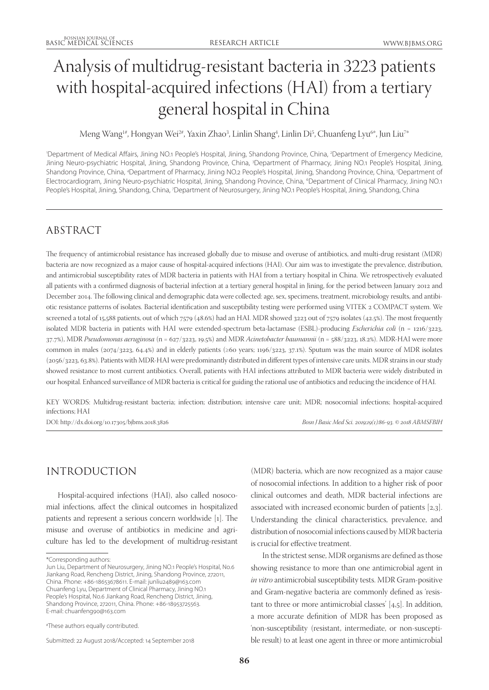# Analysis of multidrug-resistant bacteria in 3223 patients with hospital-acquired infections (HAI) from a tertiary general hospital in China

Meng Wang<sup>1#</sup>, Hongyan Wei<sup>2#</sup>, Yaxin Zhao<sup>3</sup>, Linlin Shang<sup>4</sup>, Linlin Di<sup>5</sup>, Chuanfeng Lyu<sup>6</sup>\*, Jun Liu<sup>7</sup>\*

1 Department of Medical Affairs, Jining NO.1 People's Hospital, Jining, Shandong Province, China, 2 Department of Emergency Medicine, Jining Neuro-psychiatric Hospital, Jining, Shandong Province, China, <sup>3</sup>Department of Pharmacy, Jining NO.1 People's Hospital, Jining, Shandong Province, China, <sup>4</sup>Department of Pharmacy, Jining NO.2 People's Hospital, Jining, Shandong Province, China, <sup>5</sup>Department of Electrocardiogram, Jining Neuro-psychiatric Hospital, Jining, Shandong Province, China, <sup>6</sup>Department of Clinical Pharmacy, Jining NO.1 People's Hospital, Jining, Shandong, China, 7Department of Neurosurgery, Jining NO.1 People's Hospital, Jining, Shandong, China

# ABSTRACT

The frequency of antimicrobial resistance has increased globally due to misuse and overuse of antibiotics, and multi-drug resistant (MDR) bacteria are now recognized as a major cause of hospital-acquired infections (HAI). Our aim was to investigate the prevalence, distribution, and antimicrobial susceptibility rates of MDR bacteria in patients with HAI from a tertiary hospital in China. We retrospectively evaluated all patients with a confirmed diagnosis of bacterial infection at a tertiary general hospital in Jining, for the period between January 2012 and December 2014. The following clinical and demographic data were collected: age, sex, specimens, treatment, microbiology results, and antibiotic resistance patterns of isolates. Bacterial identification and susceptibility testing were performed using VITEK 2 COMPACT system. We screened a total of 15,588 patients, out of which 7579 (48.6%) had an HAI. MDR showed 3223 out of 7579 isolates (42.5%). The most frequently isolated MDR bacteria in patients with HAI were extended-spectrum beta-lactamase (ESBL)-producing *Escherichia coli* (n = 1216/3223, 37.7%), MDR *Pseudomonas aeruginosa* (n = 627/3223, 19.5%) and MDR *Acinetobacter baumannii* (n = 588/3223, 18.2%). MDR-HAI were more common in males (2074/3223, 64.4%) and in elderly patients (≥60 years; 1196/3223, 37.1%). Sputum was the main source of MDR isolates (2056/3223, 63.8%). Patients with MDR-HAI were predominantly distributed in different types of intensive care units. MDR strains in our study showed resistance to most current antibiotics. Overall, patients with HAI infections attributed to MDR bacteria were widely distributed in our hospital. Enhanced surveillance of MDR bacteria is critical for guiding the rational use of antibiotics and reducing the incidence of HAI.

KEY WORDS: Multidrug-resistant bacteria; infection; distribution; intensive care unit; MDR; nosocomial infections; hospital-acquired infections; HAI

DOI: http://dx.doi.org/10.17305/bjbms.2018.3826 *Bosn J Basic Med Sci. 2019;19(1):86-93. © 2018 ABMSFBIH*

# INTRODUCTION

Hospital-acquired infections (HAI), also called nosocomial infections, affect the clinical outcomes in hospitalized patients and represent a serious concern worldwide [1]. The misuse and overuse of antibiotics in medicine and agriculture has led to the development of multidrug-resistant

(MDR) bacteria, which are now recognized as a major cause of nosocomial infections. In addition to a higher risk of poor clinical outcomes and death, MDR bacterial infections are associated with increased economic burden of patients [2,3]. Understanding the clinical characteristics, prevalence, and distribution of nosocomial infections caused by MDR bacteria is crucial for effective treatment.

In the strictest sense, MDR organisms are defined as those showing resistance to more than one antimicrobial agent in *in vitro* antimicrobial susceptibility tests. MDR Gram-positive and Gram-negative bacteria are commonly defined as 'resistant to three or more antimicrobial classes' [4,5]. In addition, a more accurate definition of MDR has been proposed as 'non-susceptibility (resistant, intermediate, or non-susceptible result) to at least one agent in three or more antimicrobial

<sup>\*</sup>Corresponding authors:

Jun Liu, Department of Neurosurgery, Jining NO.1 People's Hospital, No.6 Jiankang Road, Rencheng District, Jining, Shandong Province, 272011, China. Phone: +86-18653678611. E-mail: junliu2489@163.com Chuanfeng Lyu, Department of Clinical Pharmacy, Jining NO.1 People's Hospital, No.6 Jiankang Road, Rencheng District, Jining, Shandong Province, 272011, China. Phone: +86-18953725563. E-mail: chuanfeng90@163.com

<sup>#</sup> These authors equally contributed.

Submitted: 22 August 2018/Accepted: 14 September 2018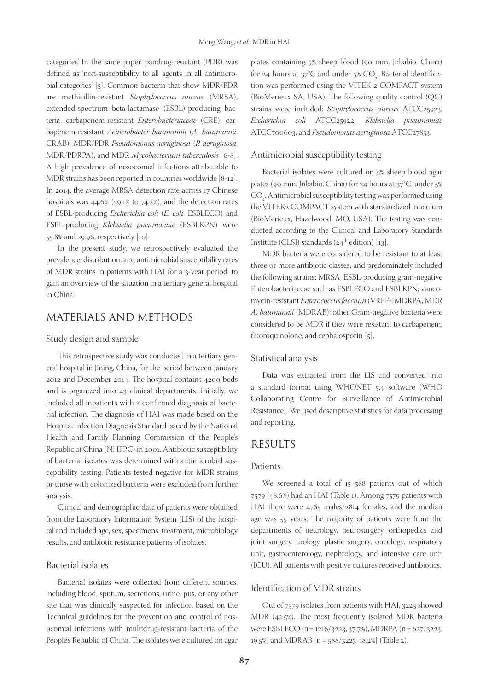categories'. In the same paper, pandrug-resistant (PDR) was defined as 'non-susceptibility to all agents in all antimicrobial categories' [5]. Common bacteria that show MDR/PDR are methicillin-resistant *Staphylococcus aureus* (MRSA), extended-spectrum beta-lactamase (ESBL)-producing bacteria, carbapenem-resistant *Enterobacteriaceae* (CRE), carbapenem-resistant *Acinetobacter baumannii* (*A. baumannii*, CRAB), MDR/PDR *Pseudomonas aeruginosa* (*P. aeruginosa*, MDR/PDRPA), and MDR *Mycobacterium tuberculosis* [6-8]. A high prevalence of nosocomial infections attributable to MDR strains has been reported in countries worldwide [8-12]. In 2014, the average MRSA detection rate across 17 Chinese hospitals was 44.6% (29.1% to 74.2%), and the detection rates of ESBL-producing *Escherichia coli* (*E. coli*, ESBLECO) and ESBL-producing *Klebsiella pneumoniae* (ESBLKPN) were 55.8% and 29.9%, respectively [10].

In the present study, we retrospectively evaluated the prevalence, distribution, and antimicrobial susceptibility rates of MDR strains in patients with HAI for a 3-year period, to gain an overview of the situation in a tertiary general hospital in China.

### MATERIALS AND METHODS

#### Study design and sample

This retrospective study was conducted in a tertiary general hospital in Jining, China, for the period between January 2012 and December 2014. The hospital contains 4200 beds and is organized into 43 clinical departments. Initially, we included all inpatients with a confirmed diagnosis of bacterial infection. The diagnosis of HAI was made based on the Hospital Infection Diagnosis Standard issued by the National Health and Family Planning Commission of the People's Republic of China (NHFPC) in 2001. Antibiotic susceptibility of bacterial isolates was determined with antimicrobial susceptibility testing. Patients tested negative for MDR strains or those with colonized bacteria were excluded from further analysis.

Clinical and demographic data of patients were obtained from the Laboratory Information System (LIS) of the hospital and included age, sex, specimens, treatment, microbiology results, and antibiotic resistance patterns of isolates.

#### Bacterial isolates

Bacterial isolates were collected from different sources, including blood, sputum, secretions, urine, pus, or any other site that was clinically suspected for infection based on the Technical guidelines for the prevention and control of nosocomial infections with multidrug-resistant bacteria of the People's Republic of China. The isolates were cultured on agar plates containing 5% sheep blood (90 mm, Jnbabio, China) for 24 hours at 37°C and under 5%  $CO_{\frac{1}{2}}$ . Bacterial identification was performed using the VITEK 2 COMPACT system (BioMerieux SA, USA). The following quality control (QC) strains were included: *Staphylococcus aureus* ATCC25923, *Escherichia coli* ATCC25922, *Klebsiella pneumoniae* ATCC700603, and *Pseudomonas aeruginosa* ATCC27853.

#### Antimicrobial susceptibility testing

Bacterial isolates were cultured on 5% sheep blood agar plates (90 mm, Jnbabio, China) for 24 hours at 37°C, under 5%  $\mathrm{CO}_2$ . Antimicrobial susceptibility testing was performed using the VITEK2 COMPACT system with standardized inoculum (BioMerieux, Hazelwood, MO, USA). The testing was conducted according to the Clinical and Laboratory Standards Institute (CLSI) standards  $(24<sup>th</sup>$  edition) [13].

MDR bacteria were considered to be resistant to at least three or more antibiotic classes, and predominately included the following strains: MRSA, ESBL-producing gram-negative Enterobacteriaceae such as ESBLECO and ESBLKPN; vancomycin-resistant *Enterococcus faecium* (VREF); MDRPA, MDR *A. baumannii* (MDRAB); other Gram-negative bacteria were considered to be MDR if they were resistant to carbapenem, fluoroquinolone, and cephalosporin [5].

#### Statistical analysis

Data was extracted from the LIS and converted into a standard format using WHONET 5.4 software (WHO Collaborating Centre for Surveillance of Antimicrobial Resistance). We used descriptive statistics for data processing and reporting.

# RESULTS

#### Patients

We screened a total of 15 588 patients out of which 7579 (48.6%) had an HAI (Table 1). Among 7579 patients with HAI there were 4765 males/2814 females, and the median age was 55 years. The majority of patients were from the departments of neurology, neurosurgery, orthopedics and joint surgery, urology, plastic surgery, oncology, respiratory unit, gastroenterology, nephrology, and intensive care unit (ICU). All patients with positive cultures received antibiotics.

#### Identification of MDR strains

Out of 7579 isolates from patients with HAI, 3223 showed MDR (42.5%). The most frequently isolated MDR bacteria were ESBLECO (n = 1216/3223, 37.7%), MDRPA (n = 627/3223, 19.5%) and MDRAB [n = 588/3223, 18.2%] (Table 2).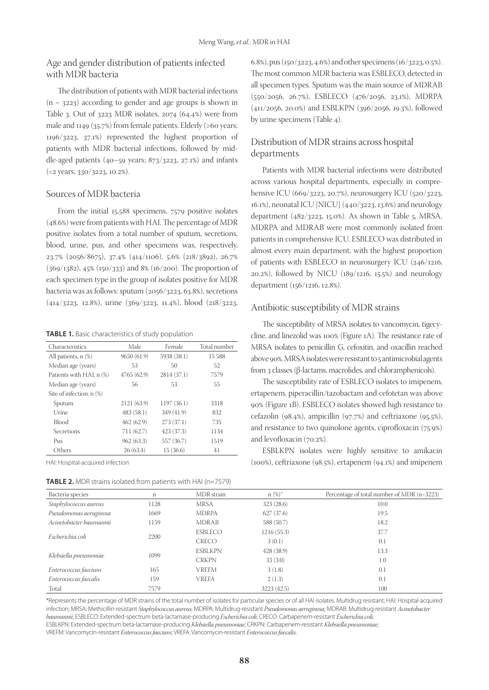# Age and gender distribution of patients infected with MDR bacteria

The distribution of patients with MDR bacterial infections (n = 3223) according to gender and age groups is shown in Table 3. Out of  $3223$  MDR isolates,  $2074$   $(64.4%)$  were from male and 1149 (35.7%) from female patients. Elderly (≥60 years; 1196/3223, 37.1%) represented the highest proportion of patients with MDR bacterial infections, followed by middle-aged patients  $(40-59 \text{ years}; 873/3223, 27.1%)$  and infants (<2 years; 330/3223, 10.2%).

#### Sources of MDR bacteria

From the initial 15,588 specimens, 7579 positive isolates (48.6%) were from patients with HAI. The percentage of MDR positive isolates from a total number of sputum, secretions, blood, urine, pus, and other specimens was, respectively, 23.7% (2056/8675), 37.4% (414/1106), 5.6% (218/3892), 26.7% (369/1382), 45% (150/333) and 8% (16/200). The proportion of each specimen type in the group of isolates positive for MDR bacteria was as follows: sputum (2056/3223, 63.8%), secretions (414/3223, 12.8%), urine (369/3223, 11.4%), blood (218/3223,

**TABLE 1.** Basic characteristics of study population

| Characteristics          | Male        | Female      | Total number |
|--------------------------|-------------|-------------|--------------|
| All patients, $n$ $(\%)$ | 9650 (61.9) | 5938 (38.1) | 15 588       |
| Median age (years)       | 53          | 50          | 52           |
| Patients with HAI, n (%) | 4765(62.9)  | 2814(37.1)  | 7579         |
| Median age (years)       | 56          | 53          | 55           |
| Site of infection, n (%) |             |             |              |
| Sputum                   | 2121 (63.9) | 1197(36.1)  | 3318         |
| Urine                    | 483(58.1)   | 349 (41.9)  | 832          |
| Blood                    | 462(62.9)   | 273(37.1)   | 735          |
| Secretions               | 711 (62.7)  | 423 (37.3)  | 1134         |
| P <sub>US</sub>          | 962(63.3)   | 557 (36.7)  | 1519         |
| Others                   | 26(63.4)    | 15(36.6)    | 41           |

HAI: Hospital-acquired infection

**TABLE 2.** MDR strains isolated from patients with HAI (n=7579)

6.8%), pus (150/3223, 4.6%) and other specimens (16/3223, 0.5%). The most common MDR bacteria was ESBLECO, detected in all specimen types. Sputum was the main source of MDRAB (550/2056, 26.7%), ESBLECO (476/2056, 23.1%), MDRPA (411/2056, 20.0%) and ESBLKPN (396/2056, 19.3%), followed by urine specimens (Table 4).

#### Distribution of MDR strains across hospital departments

Patients with MDR bacterial infections were distributed across various hospital departments, especially in comprehensive ICU (669/3223, 20.7%), neurosurgery ICU (520/3223, 16.1%), neonatal ICU [NICU] (440/3223, 13.6%) and neurology department (482/3223, 15.0%). As shown in Table 5, MRSA, MDRPA and MDRAB were most commonly isolated from patients in comprehensive ICU. ESBLECO was distributed in almost every main department, with the highest proportion of patients with ESBLECO in neurosurgery ICU (246/1216, 20.2%), followed by NICU (189/1216, 15.5%) and neurology department (156/1216, 12.8%).

#### Antibiotic susceptibility of MDR strains

The susceptibility of MRSA isolates to vancomycin, tigecycline, and linezolid was 100% (Figure 1A). The resistance rate of MRSA isolates to penicillin G, cefoxitin, and oxacillin reached above 90%. MRSA isolates were resistant to 5 antimicrobial agents from 3 classes (β-lactams, macrolides, and chloramphenicols).

The susceptibility rate of ESBLECO isolates to imipenem, ertapenem, piperacillin/tazobactam and cefotetan was above 90% (Figure 1B). ESBLECO isolates showed high resistance to cefazolin (98.4%), ampicillin (97.7%) and ceftriaxone (95.5%), and resistance to two quinolone agents, ciprofloxacin (75.9%) and levofloxacin (70.2%).

ESBLKPN isolates were highly sensitive to amikacin (100%), ceftriaxone (98.5%), ertapenem (94.1%) and imipenem

| Bacteria species        | n    | MDR strain     | $n (%)^*$   | Percentage of total number of MDR (n=3223) |  |  |  |
|-------------------------|------|----------------|-------------|--------------------------------------------|--|--|--|
| Staphylococcus aureus   | 1128 | <b>MRSA</b>    | 323(28.6)   | 10.0                                       |  |  |  |
| Pseudomonas aeruginosa  | 1669 | <b>MDRPA</b>   | 627(37.6)   | 19.5                                       |  |  |  |
| Acinetobacter baumannii | 1159 | <b>MDRAB</b>   | 588 (50.7)  | 18.2                                       |  |  |  |
| Escherichia coli        | 2200 | <b>ESBLECO</b> | 1216(55.3)  | 37.7                                       |  |  |  |
|                         |      | <b>CRECO</b>   | 3(0.1)      | 0.1                                        |  |  |  |
| Klebsiella pneumoniae   | 1099 | <b>ESBLKPN</b> | 428(38.9)   | 13.3                                       |  |  |  |
|                         |      | <b>CRKPN</b>   | 33(3.0)     | 1.0                                        |  |  |  |
| Enterococcus faecium    | 165  | <b>VREFM</b>   | 3(1.8)      | 0.1                                        |  |  |  |
| Enterococcus faecalis   | 159  | <b>VREFA</b>   | 2(1.3)      | 0.1                                        |  |  |  |
| Total                   | 7579 |                | 3223 (42.5) | 100                                        |  |  |  |

\*Represents the percentage of MDR strains of the total number of isolates for particular species or of all HAI isolates. Multidrug resistant; HAI: Hospital-acquired infection; MRSA: Methicillin-resistant *Staphylococcus aureus*; MDRPA: Multidrug-resistant *Pseudomonas aeruginosa*; MDRAB: Multidrug-resistant *Acinetobacter baumannii*; ESBLECO: Extended-spectrum beta-lactamase-producing *Escherichia coli*; CRECO: Carbapenem-resistant *Escherichia coli*; ESBLKPN: Extended-spectrum beta-lactamase-producing *Klebsiella pneumoniae*; CRKPN: Carbapenem-resistant *Klebsiella pneumoniae*;

VREFM: Vancomycin-resistant *Enterococcus faecium*; VREFA: Vancomycin-resistant *Enterococcus faecalis*.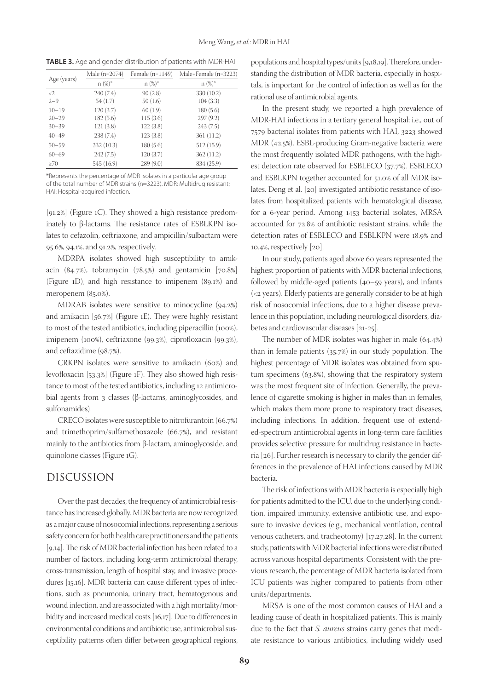**TABLE 3.** Age and gender distribution of patients with MDR-HAI

| Age (years)         | Male $(n=2074)$ | Female $(n=1149)$ | Male+Female (n=3223) |  |  |  |
|---------------------|-----------------|-------------------|----------------------|--|--|--|
|                     | $n (\%)^*$      | $n (%)^*$         | $n (\%)^*$           |  |  |  |
| $\langle 2 \rangle$ | 240(7.4)        | 90(2.8)           | 330 (10.2)           |  |  |  |
| $2 - 9$             | 54(1.7)         | 50(1.6)           | 104(3.3)             |  |  |  |
| $10 - 19$           | 120(3.7)        | 60(1.9)           | 180(5.6)             |  |  |  |
| $20 - 29$           | 182(5.6)        | 115(3.6)          | 297(9.2)             |  |  |  |
| $30 - 39$           | 121(3.8)        | 122(3.8)          | 243(7.5)             |  |  |  |
| $40 - 49$           | 238(7.4)        | 123(3.8)          | 361 (11.2)           |  |  |  |
| $50 - 59$           | 332 (10.3)      | 180(5.6)          | 512 (15.9)           |  |  |  |
| $60 - 69$           | 242(7.5)        | 120(3.7)          | 362(11.2)            |  |  |  |
| $\geq 70$           | 545 (16.9)      | 289(9.0)          | 834 (25.9)           |  |  |  |

\*Represents the percentage of MDR isolates in a particular age group of the total number of MDR strains (n=3223). MDR: Multidrug resistant; HAI: Hospital-acquired infection.

[91.2%] (Figure 1C). They showed a high resistance predominately to β-lactams. The resistance rates of ESBLKPN isolates to cefazolin, ceftriaxone, and ampicillin/sulbactam were 95.6%, 94.1%, and 91.2%, respectively.

MDRPA isolates showed high susceptibility to amikacin (84.7%), tobramycin (78.5%) and gentamicin [70.8%] (Figure 1D), and high resistance to imipenem (89.1%) and meropenem (85.0%).

MDRAB isolates were sensitive to minocycline (94.2%) and amikacin [56.7%] (Figure 1E). They were highly resistant to most of the tested antibiotics, including piperacillin (100%), imipenem (100%), ceftriaxone (99.3%), ciprofloxacin (99.3%), and ceftazidime (98.7%).

CRKPN isolates were sensitive to amikacin (60%) and levofloxacin [53.3%] (Figure 1F). They also showed high resistance to most of the tested antibiotics, including 12 antimicrobial agents from 3 classes (β-lactams, aminoglycosides, and sulfonamides).

CRECO isolates were susceptible to nitrofurantoin (66.7%) and trimethoprim/sulfamethoxazole (66.7%), and resistant mainly to the antibiotics from β-lactam, aminoglycoside, and quinolone classes (Figure 1G).

# DISCUSSION

Over the past decades, the frequency of antimicrobial resistance has increased globally. MDR bacteria are now recognized as a major cause of nosocomial infections, representing a serious safety concern for both health care practitioners and the patients [9,14]. The risk of MDR bacterial infection has been related to a number of factors, including long-term antimicrobial therapy, cross-transmission, length of hospital stay, and invasive procedures [15,16]. MDR bacteria can cause different types of infections, such as pneumonia, urinary tract, hematogenous and wound infection, and are associated with a high mortality/morbidity and increased medical costs [16,17]. Due to differences in environmental conditions and antibiotic use, antimicrobial susceptibility patterns often differ between geographical regions,

populations and hospital types/units [9,18,19]. Therefore, understanding the distribution of MDR bacteria, especially in hospitals, is important for the control of infection as well as for the rational use of antimicrobial agents.

In the present study, we reported a high prevalence of MDR-HAI infections in a tertiary general hospital; i.e., out of 7579 bacterial isolates from patients with HAI, 3223 showed MDR (42.5%). ESBL-producing Gram-negative bacteria were the most frequently isolated MDR pathogens, with the highest detection rate observed for ESBLECO (37.7%). ESBLECO and ESBLKPN together accounted for 51.0% of all MDR isolates. Deng et al. [20] investigated antibiotic resistance of isolates from hospitalized patients with hematological disease, for a 6-year period. Among 1453 bacterial isolates, MRSA accounted for 72.8% of antibiotic resistant strains, while the detection rates of ESBLECO and ESBLKPN were 18.9% and 10.4%, respectively [20].

In our study, patients aged above 60 years represented the highest proportion of patients with MDR bacterial infections, followed by middle-aged patients (40–59 years), and infants (<2 years). Elderly patients are generally consider to be at high risk of nosocomial infections, due to a higher disease prevalence in this population, including neurological disorders, diabetes and cardiovascular diseases [21-25].

The number of MDR isolates was higher in male (64.4%) than in female patients (35.7%) in our study population. The highest percentage of MDR isolates was obtained from sputum specimens (63.8%), showing that the respiratory system was the most frequent site of infection. Generally, the prevalence of cigarette smoking is higher in males than in females, which makes them more prone to respiratory tract diseases, including infections. In addition, frequent use of extended-spectrum antimicrobial agents in long-term care facilities provides selective pressure for multidrug resistance in bacteria [26]. Further research is necessary to clarify the gender differences in the prevalence of HAI infections caused by MDR bacteria.

The risk of infections with MDR bacteria is especially high for patients admitted to the ICU, due to the underlying condition, impaired immunity, extensive antibiotic use, and exposure to invasive devices (e.g., mechanical ventilation, central venous catheters, and tracheotomy) [17,27,28]. In the current study, patients with MDR bacterial infections were distributed across various hospital departments. Consistent with the previous research, the percentage of MDR bacteria isolated from ICU patients was higher compared to patients from other units/departments.

MRSA is one of the most common causes of HAI and a leading cause of death in hospitalized patients. This is mainly due to the fact that *S. aureus* strains carry genes that mediate resistance to various antibiotics, including widely used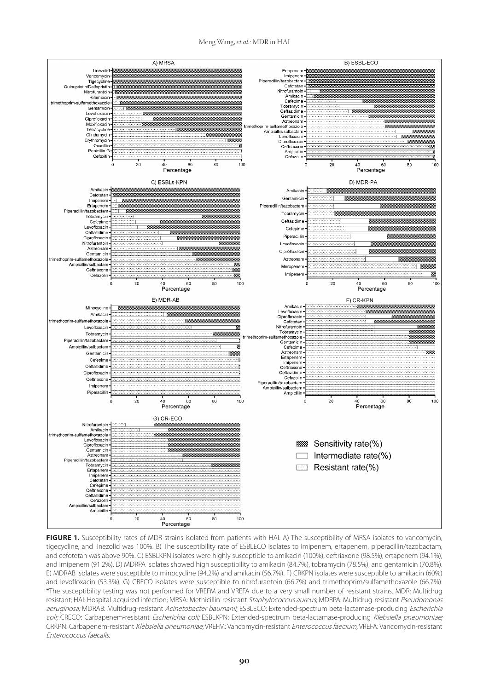



**FIGURE 1.** Susceptibility rates of MDR strains isolated from patients with HAI. A) The susceptibility of MRSA isolates to vancomycin, tigecycline, and linezolid was 100%. B) The susceptibility rate of ESBLECO isolates to imipenem, ertapenem, piperacillin/tazobactam, and cefotetan was above 90%. C) ESBLKPN isolates were highly susceptible to amikacin (100%), ceftriaxone (98.5%), ertapenem (94.1%), and imipenem (91.2%). D) MDRPA isolates showed high susceptibility to amikacin (84.7%), tobramycin (78.5%), and gentamicin (70.8%). E) MDRAB isolates were susceptible to minocycline (94.2%) and amikacin (56.7%). F) CRKPN isolates were susceptible to amikacin (60%) and levofloxacin (53.3%). G) CRECO isolates were susceptible to nitrofurantoin (66.7%) and trimethoprim/sulfamethoxazole (66.7%). \*The susceptibility testing was not performed for VREFM and VREFA due to a very small number of resistant strains. MDR: Multidrug resistant; HAI: Hospital-acquired infection; MRSA: Methicillin-resistant Staphylococcus aureus; MDRPA: Multidrug-resistant Pseudomonas aeruginosa; MDRAB: Multidrug-resistant Acinetobacter baumanii; ESBLECO: Extended-spectrum beta-lactamase-producing Escherichia coli; CRECO: Carbapenem-resistant Escherichia coli; ESBLKPN: Extended-spectrum beta-lactamase-producing Klebsiella pneumoniae; CRKPN: Carbapenem-resistant Klebsiella pneumoniae; VREFM: Vancomycin-resistant Enterococcus faecium; VREFA: Vancomycin-resistant Enterococcus faecalis.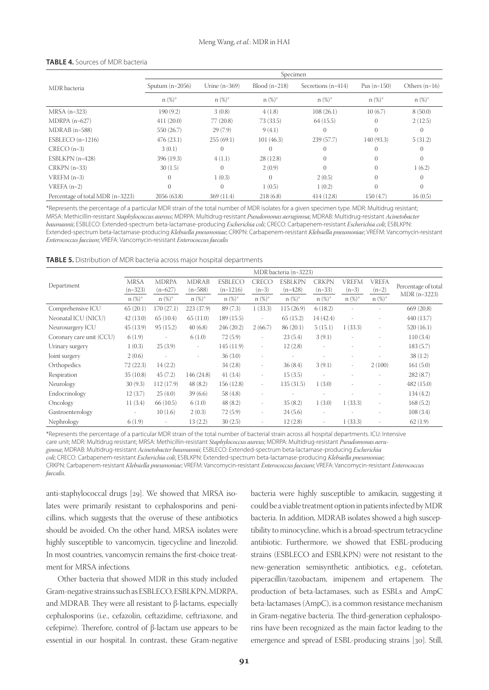|                                  | Specimen          |                 |                 |                      |               |                 |  |  |
|----------------------------------|-------------------|-----------------|-----------------|----------------------|---------------|-----------------|--|--|
| MDR bacteria                     | Sputum $(n=2056)$ | Urine $(n=369)$ | $Blood (n=218)$ | Secretions $(n=414)$ | Pus $(n=150)$ | Others $(n=16)$ |  |  |
|                                  | $n (\%)^*$        | $n\ (\%)^*$     | $n (\%)^*$      | $n\ (\%)^*$          | $n (\%)^*$    | $n\ (\%)^*$     |  |  |
| $MRSA$ (n=323)                   | 190 (9.2)         | 3(0.8)          | 4(1.8)          | 108(26.1)            | 10(6.7)       | 8(50.0)         |  |  |
| $MDRPA$ (n=627)                  | 411(20.0)         | 77(20.8)        | 73 (33.5)       | 64(15.5)             | $\mathbf{0}$  | 2(12.5)         |  |  |
| $MDRAB$ (n=588)                  | 550 (26.7)        | 29(7.9)         | 9(4.1)          | $\Omega$             | $\Omega$      | $\Omega$        |  |  |
| ESBLECO $(n=1216)$               | 476(23.1)         | 255(69.1)       | 101(46.3)       | 239 (57.7)           | 140 (93.3)    | 5(31.2)         |  |  |
| $CRECO(n=3)$                     | 3(0.1)            |                 | 0               | $\theta$             |               | $\Omega$        |  |  |
| $ESBLKPN$ (n=428)                | 396 (19.3)        | 4(1.1)          | 28(12.8)        | $\theta$             | $\theta$      | $\Omega$        |  |  |
| $CRKPN$ (n=33)                   | 30(1.5)           | $\Omega$        | 2(0.9)          | $\Omega$             | $\theta$      | 1(6.2)          |  |  |
| $VREFM(n=3)$                     | $\Omega$          | 1(0.3)          | $\sigma$        | 2(0.5)               | $\mathbf{0}$  | $\Omega$        |  |  |
| $VREFA(n=2)$                     | $\Omega$          |                 | 1(0.5)          | 1(0.2)               | $\Omega$      | $\Omega$        |  |  |
| Percentage of total MDR (n=3223) | 2056 (63.8)       | 369(11.4)       | 218(6.8)        | 414(12.8)            | 150 (4.7)     | 16(0.5)         |  |  |

#### **TABLE 4.** Sources of MDR bacteria

\*Represents the percentage of a particular MDR strain of the total number of MDR isolates for a given specimen type. MDR: Multidrug resistant; MRSA: Methicillin-resistant *Staphylococcus aureus*; MDRPA: Multidrug-resistant *Pseudomonas aeruginosa*; MDRAB: Multidrug-resistant *Acinetobacter baumannii*; ESBLECO: Extended-spectrum beta-lactamase-producing *Escherichia coli*; CRECO: Carbapenem-resistant *Escherichia coli*; ESBLKPN: Extended-spectrum beta-lactamase-producing *Klebsiella pneumoniae*; CRKPN: Carbapenem-resistant *Klebsiella pneumoniae*; VREFM: Vancomycin-resistant *Enterococcus faecium*; VREFA: Vancomycin-resistant *Enterococcus faecalis*

|  | TABLE 5. Distribution of MDR bacteria across major hospital departments |
|--|-------------------------------------------------------------------------|
|--|-------------------------------------------------------------------------|

|                          | MDR bacteria (n=3223) |                          |                          |                |                          |                          |                          |                          |              |                                     |
|--------------------------|-----------------------|--------------------------|--------------------------|----------------|--------------------------|--------------------------|--------------------------|--------------------------|--------------|-------------------------------------|
|                          | <b>MRSA</b>           | <b>MDRPA</b>             | <b>MDRAB</b>             | <b>ESBLECO</b> | CRECO                    | <b>ESBLKPN</b>           | <b>CRKPN</b>             | VREFM                    | <b>VREFA</b> |                                     |
| Department               | $(n=323)$             | $(n=627)$                | $(n=588)$                | $(n=1216)$     | $(n=3)$                  | $(n=428)$                | $(n=33)$                 | $(n=3)$                  | $(n=2)$      | Percentage of total<br>MDR (n=3223) |
|                          | $n (\%)^*$            | $n\ (\%)^*$              | $n (\%)^*$               | $n (\%)^*$     | $n\ (\%)^*$              | $n\ (\%)^*$              | $n\ (\%)^*$              | $n\ (\%)^*$              | $n (\%)^*$   |                                     |
| Comprehensive ICU        | 65(20.1)              | 170(27.1)                | 223 (37.9)               | 89(7.3)        | 1(33.3)                  | 115(26.9)                | 6(18.2)                  |                          |              | 669(20.8)                           |
| Neonatal ICU (NICU)      | 42(13.0)              | 65(10.4)                 | 65(11.0)                 | 189 (15.5)     | $\overline{\phantom{a}}$ | 65(15.2)                 | 14(42.4)                 | ٠                        |              | 440 (13.7)                          |
| Neurosurgery ICU         | 45(13.9)              | 95(15.2)                 | 40(6.8)                  | 246(20.2)      | 2(66.7)                  | 86(20.1)                 | 5(15.1)                  | 1(33.3)                  | $\sim$       | 520(16.1)                           |
| Coronary care unit (CCU) | 6(1.9)                | $\overline{\phantom{a}}$ | 6(1.0)                   | 72(5.9)        | $\overline{\phantom{a}}$ | 23(5.4)                  | 3(9.1)                   | ٠                        | ٠            | 110(3.4)                            |
| Urinary surgery          | 1(0.3)                | 25(3.9)                  | $\overline{\phantom{a}}$ | 145(11.9)      | $\overline{\phantom{a}}$ | 12(2.8)                  | $\overline{\phantom{a}}$ |                          |              | 183(5.7)                            |
| Joint surgery            | 2(0.6)                | $\overline{\phantom{a}}$ | $\overline{\phantom{a}}$ | 36(3.0)        | ٠                        | $\overline{\phantom{a}}$ |                          |                          |              | 38(1.2)                             |
| Orthopedics              | 72(22.3)              | 14(2.2)                  |                          | 34(2.8)        | $\overline{\phantom{a}}$ | 36(8.4)                  | 3(9.1)                   | $\overline{\phantom{a}}$ | 2(100)       | 161(5.0)                            |
| Respiration              | 35(10.8)              | 45(7.2)                  | 146 (24.8)               | 41(3.4)        | ٠                        | 15(3.5)                  | ٠                        |                          | ٠            | 282(8.7)                            |
| Neurology                | 30(9.3)               | 112 (17.9)               | 48(8.2)                  | 156(12.8)      | $\overline{\phantom{a}}$ | 135(31.5)                | 1(3.0)                   | ٠                        |              | 482 (15.0)                          |
| Endocrinology            | 12(3.7)               | 25(4.0)                  | 39(6.6)                  | 58(4.8)        | ٠                        | ٠                        | ٠                        |                          |              | 134(4.2)                            |
| Oncology                 | 11(3.4)               | 66(10.5)                 | 6(1.0)                   | 48(8.2)        | $\overline{\phantom{a}}$ | 35(8.2)                  | 1(3.0)                   | 1(33.3)                  | ٠            | 168(5.2)                            |
| Gastroenterology         | ٠                     | 10(1.6)                  | 2(0.3)                   | 72(5.9)        | ٠                        | 24(5.6)                  | ٠                        |                          |              | 108(3.4)                            |
| Nephrology               | 6(1.9)                | $\overline{\phantom{a}}$ | 13(2.2)                  | 30(2.5)        |                          | 12(2.8)                  | ٠                        | 1(33.3)                  |              | 62(1.9)                             |

\*Represents the percentage of a particular MDR strain of the total number of bacterial strain across all hospital departments. ICU: Intensive care unit; MDR: Multidrug resistant; MRSA: Methicillin-resistant *Staphylococcus aureus*; MDRPA: Multidrug-resistant *Pseudomonas aeru-*

*ginosa*; MDRAB: Multidrug-resistant *Acinetobacter baumannii*; ESBLECO: Extended-spectrum beta-lactamase-producing *Escherichia* 

*coli*; CRECO: Carbapenem-resistant *Escherichia coli*; ESBLKPN: Extended-spectrum beta-lactamase-producing *Klebsiella pneumoniae*;

CRKPN: Carbapenem-resistant *Klebsiella pneumoniae*; VREFM: Vancomycin-resistant *Enterococcus faecium*; VREFA: Vancomycin-resistant *Enterococcus faecalis*.

anti-staphylococcal drugs [29]. We showed that MRSA isolates were primarily resistant to cephalosporins and penicillins, which suggests that the overuse of these antibiotics should be avoided. On the other hand, MRSA isolates were highly susceptible to vancomycin, tigecycline and linezolid. In most countries, vancomycin remains the first-choice treatment for MRSA infections.

Other bacteria that showed MDR in this study included Gram-negative strains such as ESBLECO, ESBLKPN, MDRPA, and MDRAB. They were all resistant to β-lactams, especially cephalosporins (i.e., cefazolin, ceftazidime, ceftriaxone, and cefepime). Therefore, control of β-lactam use appears to be essential in our hospital. In contrast, these Gram-negative

bacteria were highly susceptible to amikacin, suggesting it could be a viable treatment option in patients infected by MDR bacteria. In addition, MDRAB isolates showed a high susceptibility to minocycline, which is a broad-spectrum tetracycline antibiotic. Furthermore, we showed that ESBL-producing strains (ESBLECO and ESBLKPN) were not resistant to the new-generation semisynthetic antibiotics, e.g., cefotetan, piperacillin/tazobactam, imipenem and ertapenem. The production of beta-lactamases, such as ESBLs and AmpC beta-lactamases (AmpC), is a common resistance mechanism in Gram-negative bacteria. The third-generation cephalosporins have been recognized as the main factor leading to the emergence and spread of ESBL-producing strains [30]. Still,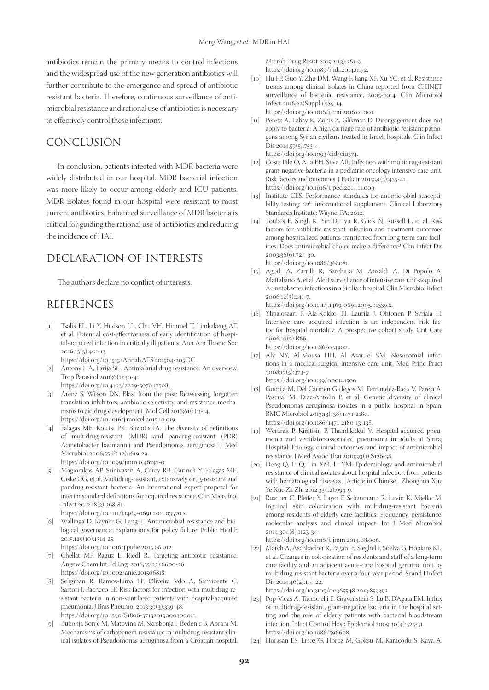antibiotics remain the primary means to control infections and the widespread use of the new generation antibiotics will further contribute to the emergence and spread of antibiotic resistant bacteria. Therefore, continuous surveillance of antimicrobial resistance and rational use of antibiotics is necessary to effectively control these infections.

# CONCLUSION

In conclusion, patients infected with MDR bacteria were widely distributed in our hospital. MDR bacterial infection was more likely to occur among elderly and ICU patients. MDR isolates found in our hospital were resistant to most current antibiotics. Enhanced surveillance of MDR bacteria is critical for guiding the rational use of antibiotics and reducing the incidence of HAI.

# DECLARATION OF INTERESTS

The authors declare no conflict of interests.

# REFERENCES

- [1] Tsalik EL, Li Y, Hudson LL, Chu VH, Himmel T, Limkakeng AT, et al. Potential cost-effectiveness of early identification of hospital-acquired infection in critically ill patients. Ann Am Thorac Soc 2016;13(3):401-13. https://doi.org/10.1513/AnnalsATS.201504-205OC.
- [2] Antony HA, Parija SC. Antimalarial drug resistance: An overview. Trop Parasitol 2016;6(1):30-41.
- https://doi.org/10.4103/2229-5070.175081. [3] Arenz S, Wilson DN. Blast from the past: Reassessing forgotten translation inhibitors, antibiotic selectivity, and resistance mechanisms to aid drug development. Mol Cell 2016;61(1):3-14. https://doi.org/10.1016/j.molcel.2015.10.019.
- [4] Falagas ME, Koletsi PK, Bliziotis IA. The diversity of definitions of multidrug-resistant (MDR) and pandrug-resistant (PDR) Acinetobacter baumannii and Pseudomonas aeruginosa. J Med Microbiol 2006;55(Pt 12):1619-29. https://doi.org/10.1099/jmm.0.46747-0.
- [5] Magiorakos AP, Srinivasan A, Carey RB, Carmeli Y, Falagas ME, Giske CG, et al. Multidrug-resistant, extensively drug-resistant and pandrug-resistant bacteria: An international expert proposal for interim standard definitions for acquired resistance. Clin Microbiol Infect 2012;18(3):268-81.

https://doi.org/10.1111/j.1469-0691.2011.03570.x.

[6] Wallinga D, Rayner G, Lang T. Antimicrobial resistance and biological governance: Explanations for policy failure. Public Health 2015;129(10):1314-25.

https://doi.org/10.1016/j.puhe.2015.08.012.

- [7] Chellat MF, Raguz L, Riedl R. Targeting antibiotic resistance. Angew Chem Int Ed Engl 2016;55(23):6600-26. https://doi.org/10.1002/anie.201506818.
- [8] Seligman R, Ramos-Lima LF, Oliveira Vdo A, Sanvicente C, Sartori J, Pacheco EF. Risk factors for infection with multidrug-resistant bacteria in non-ventilated patients with hospital-acquired pneumonia. J Bras Pneumol 2013;39(3):339-48. https://doi.org/10.1590/S1806-37132013000300011.
- [9] Bubonja-Sonje M, Matovina M, Skrobonja I, Bedenic B, Abram M. Mechanisms of carbapenem resistance in multidrug-resistant clinical isolates of Pseudomonas aeruginosa from a Croatian hospital.

Microb Drug Resist 2015;21(3):261-9. https://doi.org/10.1089/mdr.2014.0172.

[10] Hu FP, Guo Y, Zhu DM, Wang F, Jiang XF, Xu YC, et al. Resistance trends among clinical isolates in China reported from CHINET surveillance of bacterial resistance, 2005-2014. Clin Microbiol Infect 2016;22(Suppl 1):S9-14.

https://doi.org/10.1016/j.cmi.2016.01.001.

- [11] Peretz A, Labay K, Zonis Z, Glikman D. Disengagement does not apply to bacteria: A high carriage rate of antibiotic-resistant pathogens among Syrian civilians treated in Israeli hospitals. Clin Infect Dis 2014;59(5):753-4. https://doi.org/10.1093/cid/ciu374.
- [12] Costa Pde O, Atta EH, Silva AR. Infection with multidrug-resistant gram-negative bacteria in a pediatric oncology intensive care unit: Risk factors and outcomes. J Pediatr 2015;91(5):435-41.

https://doi.org/10.1016/j.jped.2014.11.009.

- [13] Institute CLS. Performance standards for antimicrobial susceptibility testing: 22<sup>th</sup> informational supplement. Clinical Laboratory Standards Institute: Wayne, PA; 2012.
- [14] Toubes E, Singh K, Yin D, Lyu R, Glick N, Russell L, et al. Risk factors for antibiotic-resistant infection and treatment outcomes among hospitalized patients transferred from long-term care facilities: Does antimicrobial choice make a difference? Clin Infect Dis 2003;36(6):724-30.

https://doi.org/10.1086/368081.

[15] Agodi A, Zarrilli R, Barchitta M, Anzaldi A, Di Popolo A, Mattaliano A, et al. Alert surveillance of intensive care unit-acquired Acinetobacter infections in a Sicilian hospital. Clin Microbiol Infect 2006;12(3):241-7.

https://doi.org/10.1111/j.1469-0691.2005.01339.x.

- [16] Ylipalosaari P, Ala-Kokko TI, Laurila J, Ohtonen P, Syrjala H. Intensive care acquired infection is an independent risk factor for hospital mortality: A prospective cohort study. Crit Care 2006;10(2):R66. https://doi.org/10.1186/cc4902.
- [17] Aly NY, Al-Mousa HH, Al Asar el SM. Nosocomial infections in a medical-surgical intensive care unit. Med Princ Pract 2008;17(5):373-7.

https://doi.org/10.1159/000141500.

- [18] Gomila M, Del Carmen Gallegos M, Fernandez-Baca V, Pareja A, Pascual M, Diaz-Antolin P, et al. Genetic diversity of clinical Pseudomonas aeruginosa isolates in a public hospital in Spain. BMC Microbiol 2013;13(138):1471-2180. https://doi.org/10.1186/1471-2180-13-138.
- [19] Werarak P, Kiratisin P, Thamlikitkul V. Hospital-acquired pneumonia and ventilator-associated pneumonia in adults at Siriraj Hospital: Etiology, clinical outcomes, and impact of antimicrobial resistance. J Med Assoc Thai 2010;93(1):S126-38.
- [20] Deng Q, Li Q, Lin XM, Li YM. Epidemiology and antimicrobial resistance of clinical isolates about hospital infection from patients with hematological diseases. [Article in Chinese]. Zhonghua Xue Ye Xue Za Zhi 2012;33(12):994-9.
- [21] Ruscher C, Pfeifer Y, Layer F, Schaumann R, Levin K, Mielke M. Inguinal skin colonization with multidrug-resistant bacteria among residents of elderly care facilities: Frequency, persistence, molecular analysis and clinical impact. Int J Med Microbiol 2014;304(8):1123-34.

https://doi.org/10.1016/j.ijmm.2014.08.006.

[22] March A, Aschbacher R, Pagani E, Sleghel F, Soelva G, Hopkins KL, et al. Changes in colonization of residents and staff of a long-term care facility and an adjacent acute-care hospital geriatric unit by multidrug-resistant bacteria over a four-year period. Scand J Infect Dis 2014;46(2):114-22.

https://doi.org/10.3109/00365548.2013.859392.

- [23] Pop-Vicas A, Tacconelli E, Gravenstein S, Lu B, D'Agata EM. Influx of multidrug-resistant, gram-negative bacteria in the hospital setting and the role of elderly patients with bacterial bloodstream infection. Infect Control Hosp Epidemiol 2009;30(4):325-31. https://doi.org/10.1086/596608.
- [24] Horasan ES, Ersoz G, Horoz M, Goksu M, Karacorlu S, Kaya A.